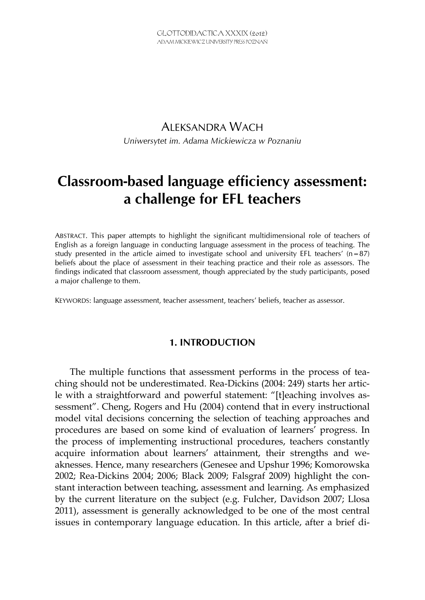## ALEKSANDRA WACH *Uniwersytet im. Adama Mickiewicza w Poznaniu*

# **Classroom-based language efficiency assessment: a challenge for EFL teachers**

ABSTRACT. This paper attempts to highlight the significant multidimensional role of teachers of English as a foreign language in conducting language assessment in the process of teaching. The study presented in the article aimed to investigate school and university EFL teachers'  $(n=87)$ beliefs about the place of assessment in their teaching practice and their role as assessors. The findings indicated that classroom assessment, though appreciated by the study participants, posed a major challenge to them.

KEYWORDS: language assessment, teacher assessment, teachers' beliefs, teacher as assessor.

#### **1. INTRODUCTION**

The multiple functions that assessment performs in the process of teaching should not be underestimated. Rea-Dickins (2004: 249) starts her article with a straightforward and powerful statement: "[t]eaching involves assessment". Cheng, Rogers and Hu (2004) contend that in every instructional model vital decisions concerning the selection of teaching approaches and procedures are based on some kind of evaluation of learners' progress. In the process of implementing instructional procedures, teachers constantly acquire information about learners' attainment, their strengths and weaknesses. Hence, many researchers (Genesee and Upshur 1996; Komorowska 2002; Rea-Dickins 2004; 2006; Black 2009; Falsgraf 2009) highlight the constant interaction between teaching, assessment and learning. As emphasized by the current literature on the subject (e.g. Fulcher, Davidson 2007; Llosa 2011), assessment is generally acknowledged to be one of the most central issues in contemporary language education. In this article, after a brief di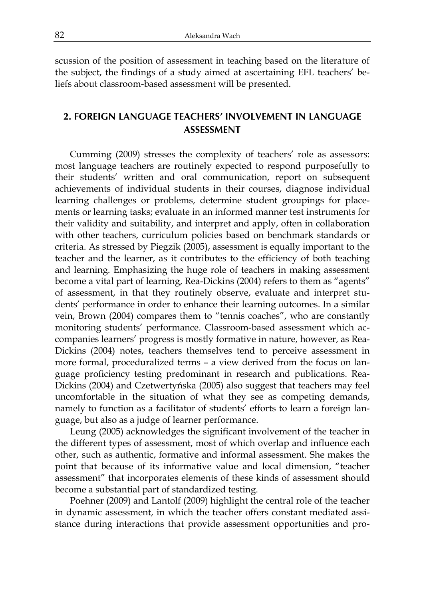scussion of the position of assessment in teaching based on the literature of the subject, the findings of a study aimed at ascertaining EFL teachers' beliefs about classroom-based assessment will be presented.

### **2. FOREIGN LANGUAGE TEACHERS' INVOLVEMENT IN LANGUAGE ASSESSMENT**

Cumming (2009) stresses the complexity of teachers' role as assessors: most language teachers are routinely expected to respond purposefully to their students' written and oral communication, report on subsequent achievements of individual students in their courses, diagnose individual learning challenges or problems, determine student groupings for placements or learning tasks; evaluate in an informed manner test instruments for their validity and suitability, and interpret and apply, often in collaboration with other teachers, curriculum policies based on benchmark standards or criteria. As stressed by Piegzik (2005), assessment is equally important to the teacher and the learner, as it contributes to the efficiency of both teaching and learning. Emphasizing the huge role of teachers in making assessment become a vital part of learning, Rea-Dickins (2004) refers to them as "agents" of assessment, in that they routinely observe, evaluate and interpret students' performance in order to enhance their learning outcomes. In a similar vein, Brown (2004) compares them to "tennis coaches", who are constantly monitoring students' performance. Classroom-based assessment which accompanies learners' progress is mostly formative in nature, however, as Rea-Dickins (2004) notes, teachers themselves tend to perceive assessment in more formal, proceduralized terms – a view derived from the focus on language proficiency testing predominant in research and publications. Rea-Dickins (2004) and Czetwertyńska (2005) also suggest that teachers may feel uncomfortable in the situation of what they see as competing demands, namely to function as a facilitator of students' efforts to learn a foreign language, but also as a judge of learner performance.

Leung (2005) acknowledges the significant involvement of the teacher in the different types of assessment, most of which overlap and influence each other, such as authentic, formative and informal assessment. She makes the point that because of its informative value and local dimension, "teacher assessment" that incorporates elements of these kinds of assessment should become a substantial part of standardized testing.

Poehner (2009) and Lantolf (2009) highlight the central role of the teacher in dynamic assessment, in which the teacher offers constant mediated assistance during interactions that provide assessment opportunities and pro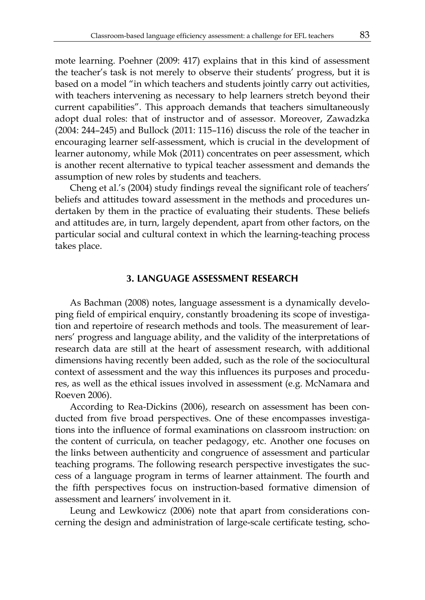mote learning. Poehner (2009: 417) explains that in this kind of assessment the teacher's task is not merely to observe their students' progress, but it is based on a model "in which teachers and students jointly carry out activities, with teachers intervening as necessary to help learners stretch beyond their current capabilities". This approach demands that teachers simultaneously adopt dual roles: that of instructor and of assessor. Moreover, Zawadzka (2004: 244–245) and Bullock (2011: 115–116) discuss the role of the teacher in encouraging learner self-assessment, which is crucial in the development of learner autonomy, while Mok (2011) concentrates on peer assessment, which is another recent alternative to typical teacher assessment and demands the assumption of new roles by students and teachers.

Cheng et al.'s (2004) study findings reveal the significant role of teachers' beliefs and attitudes toward assessment in the methods and procedures undertaken by them in the practice of evaluating their students. These beliefs and attitudes are, in turn, largely dependent, apart from other factors, on the particular social and cultural context in which the learning-teaching process takes place.

#### **3. LANGUAGE ASSESSMENT RESEARCH**

As Bachman (2008) notes, language assessment is a dynamically developing field of empirical enquiry, constantly broadening its scope of investigation and repertoire of research methods and tools. The measurement of learners' progress and language ability, and the validity of the interpretations of research data are still at the heart of assessment research, with additional dimensions having recently been added, such as the role of the sociocultural context of assessment and the way this influences its purposes and procedures, as well as the ethical issues involved in assessment (e.g. McNamara and Roeven 2006).

According to Rea-Dickins (2006), research on assessment has been conducted from five broad perspectives. One of these encompasses investigations into the influence of formal examinations on classroom instruction: on the content of curricula, on teacher pedagogy, etc. Another one focuses on the links between authenticity and congruence of assessment and particular teaching programs. The following research perspective investigates the success of a language program in terms of learner attainment. The fourth and the fifth perspectives focus on instruction-based formative dimension of assessment and learners' involvement in it.

Leung and Lewkowicz (2006) note that apart from considerations concerning the design and administration of large-scale certificate testing, scho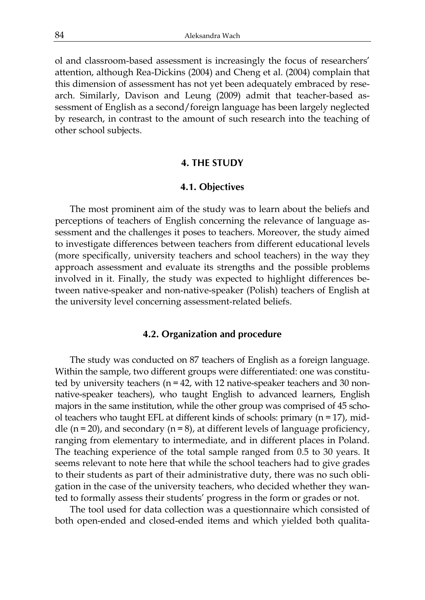ol and classroom-based assessment is increasingly the focus of researchers' attention, although Rea-Dickins (2004) and Cheng et al. (2004) complain that this dimension of assessment has not yet been adequately embraced by research. Similarly, Davison and Leung (2009) admit that teacher-based assessment of English as a second/foreign language has been largely neglected by research, in contrast to the amount of such research into the teaching of other school subjects.

#### **4. THE STUDY**

#### **4.1. Objectives**

The most prominent aim of the study was to learn about the beliefs and perceptions of teachers of English concerning the relevance of language assessment and the challenges it poses to teachers. Moreover, the study aimed to investigate differences between teachers from different educational levels (more specifically, university teachers and school teachers) in the way they approach assessment and evaluate its strengths and the possible problems involved in it. Finally, the study was expected to highlight differences between native-speaker and non-native-speaker (Polish) teachers of English at the university level concerning assessment-related beliefs.

#### **4.2. Organization and procedure**

The study was conducted on 87 teachers of English as a foreign language. Within the sample, two different groups were differentiated: one was constituted by university teachers (n = 42, with 12 native-speaker teachers and 30 nonnative-speaker teachers), who taught English to advanced learners, English majors in the same institution, while the other group was comprised of 45 school teachers who taught EFL at different kinds of schools: primary (n = 17), middle  $(n = 20)$ , and secondary  $(n = 8)$ , at different levels of language proficiency, ranging from elementary to intermediate, and in different places in Poland. The teaching experience of the total sample ranged from 0.5 to 30 years. It seems relevant to note here that while the school teachers had to give grades to their students as part of their administrative duty, there was no such obligation in the case of the university teachers, who decided whether they wanted to formally assess their students' progress in the form or grades or not.

The tool used for data collection was a questionnaire which consisted of both open-ended and closed-ended items and which yielded both qualita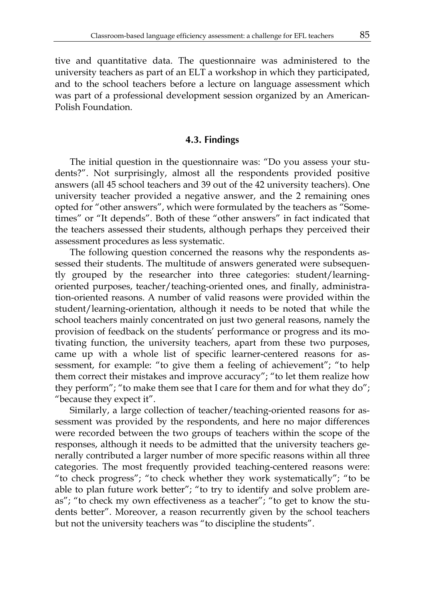tive and quantitative data. The questionnaire was administered to the university teachers as part of an ELT a workshop in which they participated, and to the school teachers before a lecture on language assessment which was part of a professional development session organized by an American-Polish Foundation.

#### **4.3. Findings**

The initial question in the questionnaire was: "Do you assess your students?". Not surprisingly, almost all the respondents provided positive answers (all 45 school teachers and 39 out of the 42 university teachers). One university teacher provided a negative answer, and the 2 remaining ones opted for "other answers", which were formulated by the teachers as "Sometimes" or "It depends". Both of these "other answers" in fact indicated that the teachers assessed their students, although perhaps they perceived their assessment procedures as less systematic.

The following question concerned the reasons why the respondents assessed their students. The multitude of answers generated were subsequently grouped by the researcher into three categories: student/learningoriented purposes, teacher/teaching-oriented ones, and finally, administration-oriented reasons. A number of valid reasons were provided within the student/learning-orientation, although it needs to be noted that while the school teachers mainly concentrated on just two general reasons, namely the provision of feedback on the students' performance or progress and its motivating function, the university teachers, apart from these two purposes, came up with a whole list of specific learner-centered reasons for assessment, for example: "to give them a feeling of achievement"; "to help them correct their mistakes and improve accuracy"; "to let them realize how they perform"; "to make them see that I care for them and for what they do"; "because they expect it".

Similarly, a large collection of teacher/teaching-oriented reasons for assessment was provided by the respondents, and here no major differences were recorded between the two groups of teachers within the scope of the responses, although it needs to be admitted that the university teachers generally contributed a larger number of more specific reasons within all three categories. The most frequently provided teaching-centered reasons were: "to check progress"; "to check whether they work systematically"; "to be able to plan future work better"; "to try to identify and solve problem areas"; "to check my own effectiveness as a teacher"; "to get to know the students better". Moreover, a reason recurrently given by the school teachers but not the university teachers was "to discipline the students".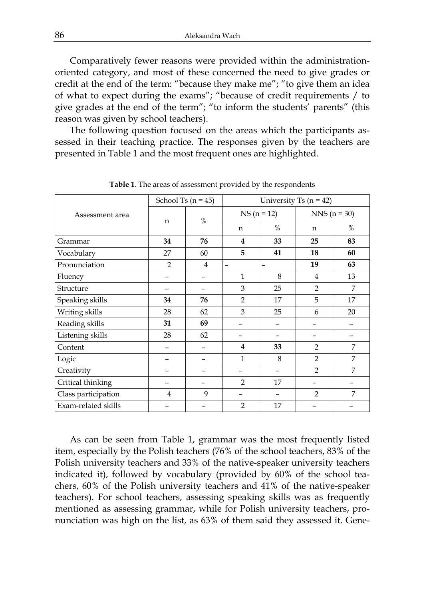Comparatively fewer reasons were provided within the administrationoriented category, and most of these concerned the need to give grades or credit at the end of the term: "because they make me"; "to give them an idea of what to expect during the exams"; "because of credit requirements / to give grades at the end of the term"; "to inform the students' parents" (this reason was given by school teachers).

The following question focused on the areas which the participants assessed in their teaching practice. The responses given by the teachers are presented in Table 1 and the most frequent ones are highlighted.

| Assessment area     | School Ts ( $n = 45$ ) |                | University Ts $(n = 42)$ |      |                |    |
|---------------------|------------------------|----------------|--------------------------|------|----------------|----|
|                     | $\mathsf{n}$           | $\%$           | $NS (n = 12)$            |      | $NNS (n = 30)$ |    |
|                     |                        |                | n                        | $\%$ | n              | %  |
| Grammar             | 34                     | 76             | 4                        | 33   | 25             | 83 |
| Vocabulary          | 27                     | 60             | 5                        | 41   | 18             | 60 |
| Pronunciation       | $\overline{2}$         | $\overline{4}$ | $\overline{\phantom{0}}$ | -    | 19             | 63 |
| Fluency             |                        |                | $\mathbf{1}$             | 8    | $\overline{4}$ | 13 |
| Structure           |                        |                | 3                        | 25   | $\overline{2}$ | 7  |
| Speaking skills     | 34                     | 76             | $\overline{2}$           | 17   | 5              | 17 |
| Writing skills      | 28                     | 62             | 3                        | 25   | 6              | 20 |
| Reading skills      | 31                     | 69             |                          |      |                |    |
| Listening skills    | 28                     | 62             |                          |      |                |    |
| Content             | -                      |                | 4                        | 33   | $\overline{2}$ | 7  |
| Logic               |                        |                | $\mathbf{1}$             | 8    | $\overline{2}$ | 7  |
| Creativity          |                        |                |                          |      | $\overline{2}$ | 7  |
| Critical thinking   | -                      |                | $\mathcal{P}$            | 17   |                |    |
| Class participation | $\overline{4}$         | 9              |                          |      | $\overline{2}$ | 7  |
| Exam-related skills |                        |                | $\overline{2}$           | 17   |                |    |

**Table 1**. The areas of assessment provided by the respondents

As can be seen from Table 1, grammar was the most frequently listed item, especially by the Polish teachers (76% of the school teachers, 83% of the Polish university teachers and 33% of the native-speaker university teachers indicated it), followed by vocabulary (provided by 60% of the school teachers, 60% of the Polish university teachers and 41% of the native-speaker teachers). For school teachers, assessing speaking skills was as frequently mentioned as assessing grammar, while for Polish university teachers, pronunciation was high on the list, as 63% of them said they assessed it. Gene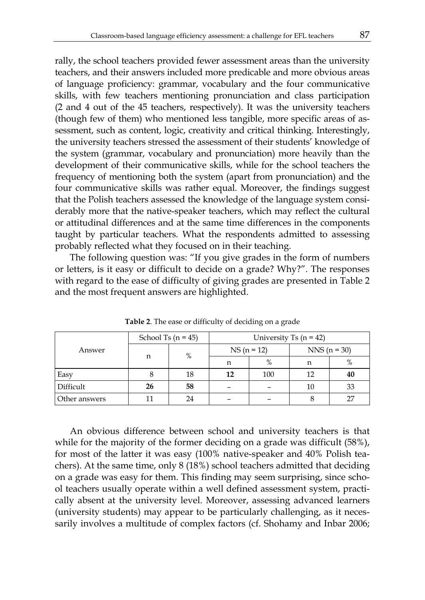rally, the school teachers provided fewer assessment areas than the university teachers, and their answers included more predicable and more obvious areas of language proficiency: grammar, vocabulary and the four communicative skills, with few teachers mentioning pronunciation and class participation (2 and 4 out of the 45 teachers, respectively). It was the university teachers (though few of them) who mentioned less tangible, more specific areas of assessment, such as content, logic, creativity and critical thinking. Interestingly, the university teachers stressed the assessment of their students' knowledge of the system (grammar, vocabulary and pronunciation) more heavily than the development of their communicative skills, while for the school teachers the frequency of mentioning both the system (apart from pronunciation) and the four communicative skills was rather equal. Moreover, the findings suggest that the Polish teachers assessed the knowledge of the language system considerably more that the native-speaker teachers, which may reflect the cultural or attitudinal differences and at the same time differences in the components taught by particular teachers. What the respondents admitted to assessing probably reflected what they focused on in their teaching.

The following question was: "If you give grades in the form of numbers or letters, is it easy or difficult to decide on a grade? Why?". The responses with regard to the ease of difficulty of giving grades are presented in Table 2 and the most frequent answers are highlighted.

|               | School Ts $(n = 45)$ |    | University Ts $(n = 42)$ |      |                |    |
|---------------|----------------------|----|--------------------------|------|----------------|----|
| Answer        | n                    | %  | $NS (n = 12)$            |      | $NNS (n = 30)$ |    |
|               |                      |    | n                        | $\%$ | n              | %  |
| Easy          |                      | 18 | 12                       | 100  | 12             | 40 |
| Difficult     | 26                   | 58 |                          |      | 10             | 33 |
| Other answers |                      | 24 |                          |      |                | 27 |

**Table 2**. The ease or difficulty of deciding on a grade

An obvious difference between school and university teachers is that while for the majority of the former deciding on a grade was difficult (58%), for most of the latter it was easy (100% native-speaker and 40% Polish teachers). At the same time, only 8 (18%) school teachers admitted that deciding on a grade was easy for them. This finding may seem surprising, since school teachers usually operate within a well defined assessment system, practically absent at the university level. Moreover, assessing advanced learners (university students) may appear to be particularly challenging, as it necessarily involves a multitude of complex factors (cf. Shohamy and Inbar 2006;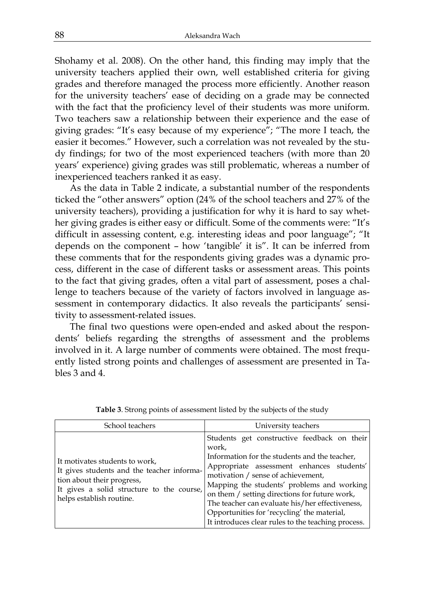Shohamy et al. 2008). On the other hand, this finding may imply that the university teachers applied their own, well established criteria for giving grades and therefore managed the process more efficiently. Another reason for the university teachers' ease of deciding on a grade may be connected with the fact that the proficiency level of their students was more uniform. Two teachers saw a relationship between their experience and the ease of giving grades: "It's easy because of my experience"; "The more I teach, the easier it becomes." However, such a correlation was not revealed by the study findings; for two of the most experienced teachers (with more than 20 years' experience) giving grades was still problematic, whereas a number of inexperienced teachers ranked it as easy.

As the data in Table 2 indicate, a substantial number of the respondents ticked the "other answers" option (24% of the school teachers and 27% of the university teachers), providing a justification for why it is hard to say whether giving grades is either easy or difficult. Some of the comments were: "It's difficult in assessing content, e.g. interesting ideas and poor language"; "It depends on the component – how 'tangible' it is". It can be inferred from these comments that for the respondents giving grades was a dynamic process, different in the case of different tasks or assessment areas. This points to the fact that giving grades, often a vital part of assessment, poses a challenge to teachers because of the variety of factors involved in language assessment in contemporary didactics. It also reveals the participants' sensitivity to assessment-related issues.

The final two questions were open-ended and asked about the respondents' beliefs regarding the strengths of assessment and the problems involved in it. A large number of comments were obtained. The most frequently listed strong points and challenges of assessment are presented in Tables 3 and 4.

| School teachers                                                                                                                                                                     | University teachers                                                                                                                                                                                                                                                                                                                                                                                                                             |
|-------------------------------------------------------------------------------------------------------------------------------------------------------------------------------------|-------------------------------------------------------------------------------------------------------------------------------------------------------------------------------------------------------------------------------------------------------------------------------------------------------------------------------------------------------------------------------------------------------------------------------------------------|
| It motivates students to work,<br>It gives students and the teacher informa-<br>tion about their progress,<br>It gives a solid structure to the course,<br>helps establish routine. | Students get constructive feedback on their<br>work,<br>Information for the students and the teacher,<br>Appropriate assessment enhances students'<br>motivation / sense of achievement,<br>Mapping the students' problems and working<br>on them / setting directions for future work,<br>The teacher can evaluate his/her effectiveness,<br>Opportunities for 'recycling' the material,<br>It introduces clear rules to the teaching process. |

**Table 3**. Strong points of assessment listed by the subjects of the study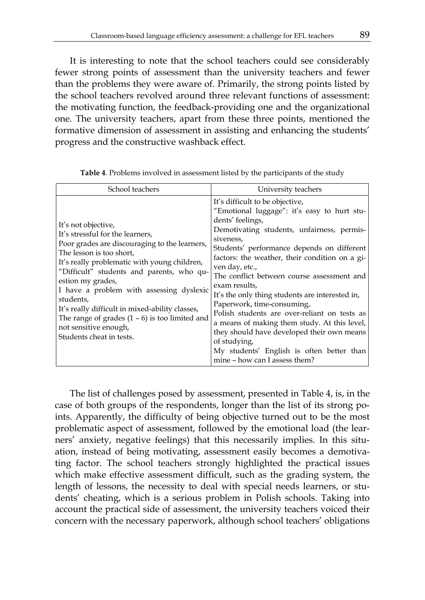It is interesting to note that the school teachers could see considerably fewer strong points of assessment than the university teachers and fewer than the problems they were aware of. Primarily, the strong points listed by the school teachers revolved around three relevant functions of assessment: the motivating function, the feedback-providing one and the organizational one. The university teachers, apart from these three points, mentioned the formative dimension of assessment in assisting and enhancing the students' progress and the constructive washback effect.

| School teachers                                                                                                                                                                                                                                                                                                                                                                                                                                                             | University teachers                                                                                                                                                                                                                                                                                                                                                                                                                                                                                                                                                                                                                                                         |
|-----------------------------------------------------------------------------------------------------------------------------------------------------------------------------------------------------------------------------------------------------------------------------------------------------------------------------------------------------------------------------------------------------------------------------------------------------------------------------|-----------------------------------------------------------------------------------------------------------------------------------------------------------------------------------------------------------------------------------------------------------------------------------------------------------------------------------------------------------------------------------------------------------------------------------------------------------------------------------------------------------------------------------------------------------------------------------------------------------------------------------------------------------------------------|
| It's not objective,<br>It's stressful for the learners,<br>Poor grades are discouraging to the learners,<br>The lesson is too short.<br>It's really problematic with young children,<br>"Difficult" students and parents, who qu-<br>estion my grades,<br>I have a problem with assessing dyslexic<br>students,<br>It's really difficult in mixed-ability classes,<br>The range of grades $(1 - 6)$ is too limited and<br>not sensitive enough,<br>Students cheat in tests. | It's difficult to be objective,<br>"Emotional luggage": it's easy to hurt stu-<br>dents' feelings,<br>Demotivating students, unfairness, permis-<br>siveness.<br>Students' performance depends on different<br>factors: the weather, their condition on a gi-<br>ven day, etc.,<br>The conflict between course assessment and<br>exam results.<br>It's the only thing students are interested in,<br>Paperwork, time-consuming,<br>Polish students are over-reliant on tests as<br>a means of making them study. At this level,<br>they should have developed their own means<br>of studying,<br>My students' English is often better than<br>mine - how can I assess them? |

**Table 4**. Problems involved in assessment listed by the participants of the study

The list of challenges posed by assessment, presented in Table 4, is, in the case of both groups of the respondents, longer than the list of its strong points. Apparently, the difficulty of being objective turned out to be the most problematic aspect of assessment, followed by the emotional load (the learners' anxiety, negative feelings) that this necessarily implies. In this situation, instead of being motivating, assessment easily becomes a demotivating factor. The school teachers strongly highlighted the practical issues which make effective assessment difficult, such as the grading system, the length of lessons, the necessity to deal with special needs learners, or students' cheating, which is a serious problem in Polish schools. Taking into account the practical side of assessment, the university teachers voiced their concern with the necessary paperwork, although school teachers' obligations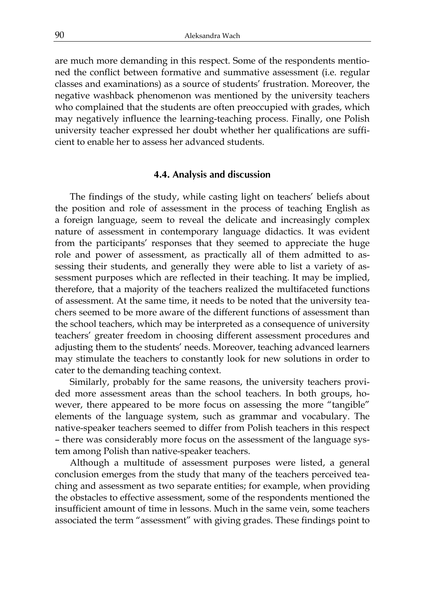are much more demanding in this respect. Some of the respondents mentioned the conflict between formative and summative assessment (i.e. regular classes and examinations) as a source of students' frustration. Moreover, the negative washback phenomenon was mentioned by the university teachers who complained that the students are often preoccupied with grades, which may negatively influence the learning-teaching process. Finally, one Polish university teacher expressed her doubt whether her qualifications are sufficient to enable her to assess her advanced students.

#### **4.4. Analysis and discussion**

The findings of the study, while casting light on teachers' beliefs about the position and role of assessment in the process of teaching English as a foreign language, seem to reveal the delicate and increasingly complex nature of assessment in contemporary language didactics. It was evident from the participants' responses that they seemed to appreciate the huge role and power of assessment, as practically all of them admitted to assessing their students, and generally they were able to list a variety of assessment purposes which are reflected in their teaching. It may be implied, therefore, that a majority of the teachers realized the multifaceted functions of assessment. At the same time, it needs to be noted that the university teachers seemed to be more aware of the different functions of assessment than the school teachers, which may be interpreted as a consequence of university teachers' greater freedom in choosing different assessment procedures and adjusting them to the students' needs. Moreover, teaching advanced learners may stimulate the teachers to constantly look for new solutions in order to cater to the demanding teaching context.

Similarly, probably for the same reasons, the university teachers provided more assessment areas than the school teachers. In both groups, however, there appeared to be more focus on assessing the more "tangible" elements of the language system, such as grammar and vocabulary. The native-speaker teachers seemed to differ from Polish teachers in this respect – there was considerably more focus on the assessment of the language system among Polish than native-speaker teachers.

Although a multitude of assessment purposes were listed, a general conclusion emerges from the study that many of the teachers perceived teaching and assessment as two separate entities; for example, when providing the obstacles to effective assessment, some of the respondents mentioned the insufficient amount of time in lessons. Much in the same vein, some teachers associated the term "assessment" with giving grades. These findings point to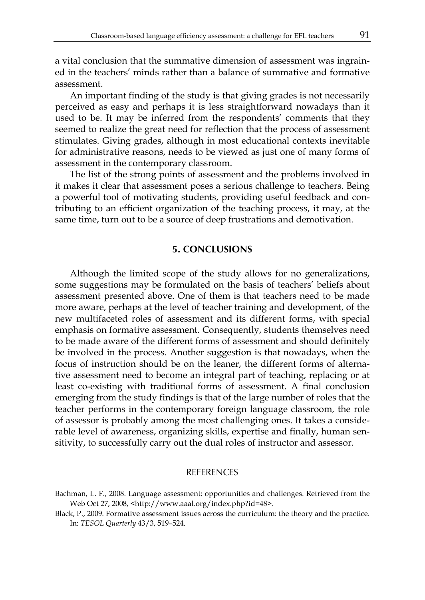a vital conclusion that the summative dimension of assessment was ingrained in the teachers' minds rather than a balance of summative and formative assessment.

An important finding of the study is that giving grades is not necessarily perceived as easy and perhaps it is less straightforward nowadays than it used to be. It may be inferred from the respondents' comments that they seemed to realize the great need for reflection that the process of assessment stimulates. Giving grades, although in most educational contexts inevitable for administrative reasons, needs to be viewed as just one of many forms of assessment in the contemporary classroom.

The list of the strong points of assessment and the problems involved in it makes it clear that assessment poses a serious challenge to teachers. Being a powerful tool of motivating students, providing useful feedback and contributing to an efficient organization of the teaching process, it may, at the same time, turn out to be a source of deep frustrations and demotivation.

#### **5. CONCLUSIONS**

Although the limited scope of the study allows for no generalizations, some suggestions may be formulated on the basis of teachers' beliefs about assessment presented above. One of them is that teachers need to be made more aware, perhaps at the level of teacher training and development, of the new multifaceted roles of assessment and its different forms, with special emphasis on formative assessment. Consequently, students themselves need to be made aware of the different forms of assessment and should definitely be involved in the process. Another suggestion is that nowadays, when the focus of instruction should be on the leaner, the different forms of alternative assessment need to become an integral part of teaching, replacing or at least co-existing with traditional forms of assessment. A final conclusion emerging from the study findings is that of the large number of roles that the teacher performs in the contemporary foreign language classroom, the role of assessor is probably among the most challenging ones. It takes a considerable level of awareness, organizing skills, expertise and finally, human sensitivity, to successfully carry out the dual roles of instructor and assessor.

#### **REFERENCES**

- Bachman, L. F., 2008. Language assessment: opportunities and challenges. Retrieved from the Web Oct 27, 2008, <http://www.aaal.org/index.php?id=48>.
- Black, P., 2009. Formative assessment issues across the curriculum: the theory and the practice. In: *TESOL Quarterly* 43/3, 519–524.